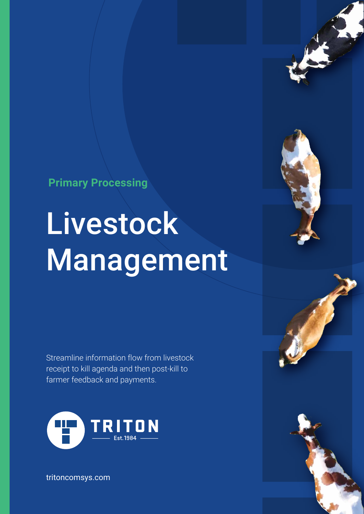**Primary Processing**

# **Livestock** Management

Streamline information flow from livestock receipt to kill agenda and then post-kill to farmer feedback and payments.



tritoncomsys.com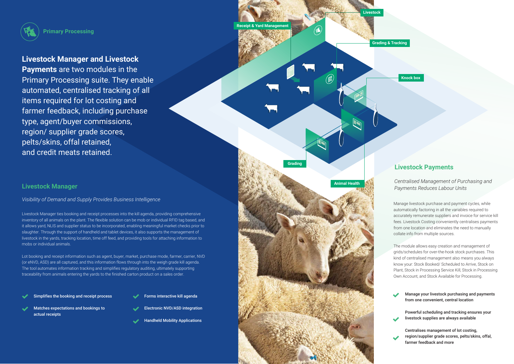Livestock Manager ties booking and receipt processes into the kill agenda, providing comprehensive inventory of all animals on the plant. The flexible solution can be mob or individual RFID tag based, and it allows yard, NLIS and supplier status to be incorporated, enabling meaningful market checks prior to slaughter. Through the support of handheld and tablet devices, it also supports the management of livestock in the yards, tracking location, time off feed, and providing tools for attaching information to mobs or individual animals.

Lot booking and receipt information such as agent, buyer, market, purchase mode, farmer, carrier, NVD (or eNVD, ASD) are all captured, and this information flows through into the weigh grade kill agenda. The tool automates information tracking and simplifies regulatory auditing, ultimately supporting traceability from animals entering the yards to the finished carton product on a sales order.

## **Livestock Manager**

## *Visibility of Demand and Supply Provides Business Intelligence*

## **Livestock Payments**

- Simplifies the booking and receipt process
	-
- Forms interactive kill agenda
- Matches expectations and bookings to actual receipts
- Electronic NVD/ASD integration
- Handheld Mobility Applications

Manage your livestock purchasing and payments from one convenient, central location

Powerful scheduling and tracking ensures your livestock supplies are always available



Centralises management of lot costing, region/supplier grade scores, pelts/skins, offal, farmer feedback and more



**Primary Processing**

**Livestock**

**Receipt & Yard Management**

**Grading & Tracking**

**Knock box**

**Animal Health**

**Grading**

# **Livestock Manager and Livestock**

**Payments** are two modules in the Primary Processing suite. They enable automated, centralised tracking of all items required for lot costing and farmer feedback, including purchase type, agent/buyer commissions, region/ supplier grade scores, pelts/skins, offal retained, and credit meats retained.

> Manage livestock purchase and payment cycles, while automatically factoring in all the variables required to accurately remunerate suppliers and invoice for service kill fees. Livestock Costing conveniently centralises payments from one location and eliminates the need to manually collate info from multiple sources.

> The module allows easy creation and management of grids/schedules for over-the-hook stock purchases. This kind of centralised management also means you always know your: Stock Booked/ Scheduled to Arrive, Stock on Plant, Stock in Processing Service Kill, Stock in Processing Own Account, and Stock Available for Processing.

*Centralised Management of Purchasing and Payments Reduces Labour Units*